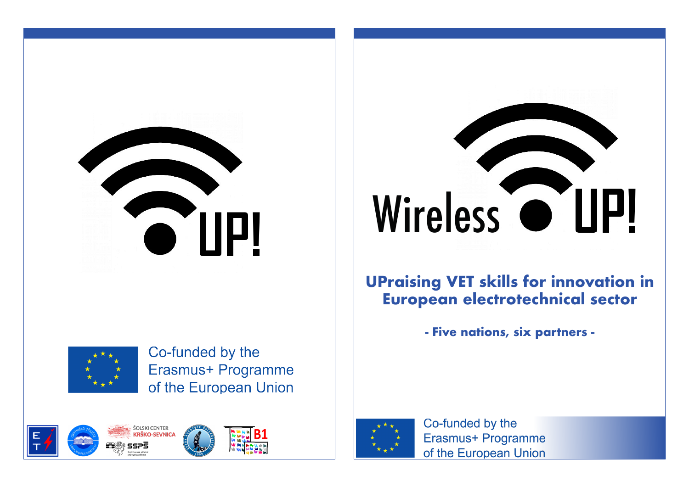



Co-funded by the Erasmus+ Programme of the European Union



# Wireless O UP!

**UPraising VET skills for innovation in European electrotechnical sector**

**- Five nations, six partners -** 



Co-funded by the Erasmus+ Programme of the European Union